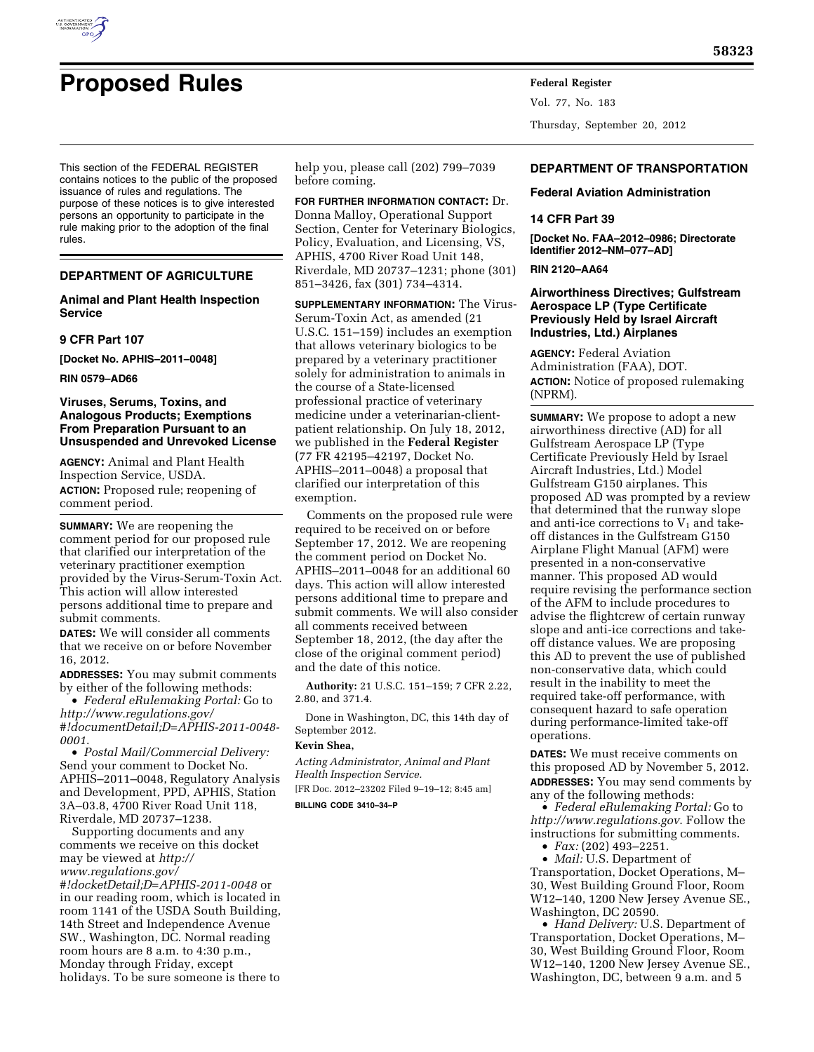

This section of the FEDERAL REGISTER contains notices to the public of the proposed issuance of rules and regulations. The purpose of these notices is to give interested persons an opportunity to participate in the rule making prior to the adoption of the final rules.

## **DEPARTMENT OF AGRICULTURE**

## **Animal and Plant Health Inspection Service**

### **9 CFR Part 107**

**[Docket No. APHIS–2011–0048]** 

**RIN 0579–AD66** 

## **Viruses, Serums, Toxins, and Analogous Products; Exemptions From Preparation Pursuant to an Unsuspended and Unrevoked License**

**AGENCY:** Animal and Plant Health Inspection Service, USDA. **ACTION:** Proposed rule; reopening of comment period.

**SUMMARY:** We are reopening the comment period for our proposed rule that clarified our interpretation of the veterinary practitioner exemption provided by the Virus-Serum-Toxin Act. This action will allow interested persons additional time to prepare and submit comments.

**DATES:** We will consider all comments that we receive on or before November 16, 2012.

**ADDRESSES:** You may submit comments by either of the following methods:

• *Federal eRulemaking Portal:* Go to *[http://www.regulations.gov/](http://www.regulations.gov/#!documentDetail;D=APHIS-2011-0048-0001)  [#!documentDetail;D=APHIS-2011-0048-](http://www.regulations.gov/#!documentDetail;D=APHIS-2011-0048-0001) [0001](http://www.regulations.gov/#!documentDetail;D=APHIS-2011-0048-0001)*.

• *Postal Mail/Commercial Delivery:*  Send your comment to Docket No. APHIS–2011–0048, Regulatory Analysis and Development, PPD, APHIS, Station 3A–03.8, 4700 River Road Unit 118, Riverdale, MD 20737–1238.

Supporting documents and any comments we receive on this docket may be viewed at *[http://](http://www.regulations.gov/#!docketDetail;D=APHIS-2011-0048)  [www.regulations.gov/](http://www.regulations.gov/#!docketDetail;D=APHIS-2011-0048)* 

*[#!docketDetail;D=APHIS-2011-0048](http://www.regulations.gov/#!docketDetail;D=APHIS-2011-0048)* or in our reading room, which is located in room 1141 of the USDA South Building, 14th Street and Independence Avenue SW., Washington, DC. Normal reading room hours are 8 a.m. to 4:30 p.m., Monday through Friday, except holidays. To be sure someone is there to

help you, please call (202) 799–7039 before coming.

**FOR FURTHER INFORMATION CONTACT:** Dr. Donna Malloy, Operational Support Section, Center for Veterinary Biologics, Policy, Evaluation, and Licensing, VS, APHIS, 4700 River Road Unit 148, Riverdale, MD 20737–1231; phone (301) 851–3426, fax (301) 734–4314.

**SUPPLEMENTARY INFORMATION:** The Virus-Serum-Toxin Act, as amended (21 U.S.C. 151–159) includes an exemption that allows veterinary biologics to be prepared by a veterinary practitioner solely for administration to animals in the course of a State-licensed professional practice of veterinary medicine under a veterinarian-clientpatient relationship. On July 18, 2012, we published in the **Federal Register**  (77 FR 42195–42197, Docket No. APHIS–2011–0048) a proposal that clarified our interpretation of this exemption.

Comments on the proposed rule were required to be received on or before September 17, 2012. We are reopening the comment period on Docket No. APHIS–2011–0048 for an additional 60 days. This action will allow interested persons additional time to prepare and submit comments. We will also consider all comments received between September 18, 2012, (the day after the close of the original comment period) and the date of this notice.

**Authority:** 21 U.S.C. 151–159; 7 CFR 2.22, 2.80, and 371.4.

Done in Washington, DC, this 14th day of September 2012.

## **Kevin Shea,**

*Acting Administrator, Animal and Plant Health Inspection Service.* 

[FR Doc. 2012–23202 Filed 9–19–12; 8:45 am]

**BILLING CODE 3410–34–P** 

Vol. 77, No. 183 Thursday, September 20, 2012

## **DEPARTMENT OF TRANSPORTATION**

**Federal Aviation Administration** 

## **14 CFR Part 39**

**[Docket No. FAA–2012–0986; Directorate Identifier 2012–NM–077–AD]** 

### **RIN 2120–AA64**

## **Airworthiness Directives; Gulfstream Aerospace LP (Type Certificate Previously Held by Israel Aircraft Industries, Ltd.) Airplanes**

**AGENCY:** Federal Aviation Administration (FAA), DOT. **ACTION:** Notice of proposed rulemaking (NPRM).

**SUMMARY:** We propose to adopt a new airworthiness directive (AD) for all Gulfstream Aerospace LP (Type Certificate Previously Held by Israel Aircraft Industries, Ltd.) Model Gulfstream G150 airplanes. This proposed AD was prompted by a review that determined that the runway slope and anti-ice corrections to  $V_1$  and takeoff distances in the Gulfstream G150 Airplane Flight Manual (AFM) were presented in a non-conservative manner. This proposed AD would require revising the performance section of the AFM to include procedures to advise the flightcrew of certain runway slope and anti-ice corrections and takeoff distance values. We are proposing this AD to prevent the use of published non-conservative data, which could result in the inability to meet the required take-off performance, with consequent hazard to safe operation during performance-limited take-off operations.

**DATES:** We must receive comments on this proposed AD by November 5, 2012. **ADDRESSES:** You may send comments by any of the following methods:

• *Federal eRulemaking Portal:* Go to *<http://www.regulations.gov>*. Follow the instructions for submitting comments.

• *Fax:* (202) 493–2251.

• *Mail:* U.S. Department of Transportation, Docket Operations, M– 30, West Building Ground Floor, Room W12–140, 1200 New Jersey Avenue SE., Washington, DC 20590.

• *Hand Delivery:* U.S. Department of Transportation, Docket Operations, M– 30, West Building Ground Floor, Room W12–140, 1200 New Jersey Avenue SE., Washington, DC, between 9 a.m. and 5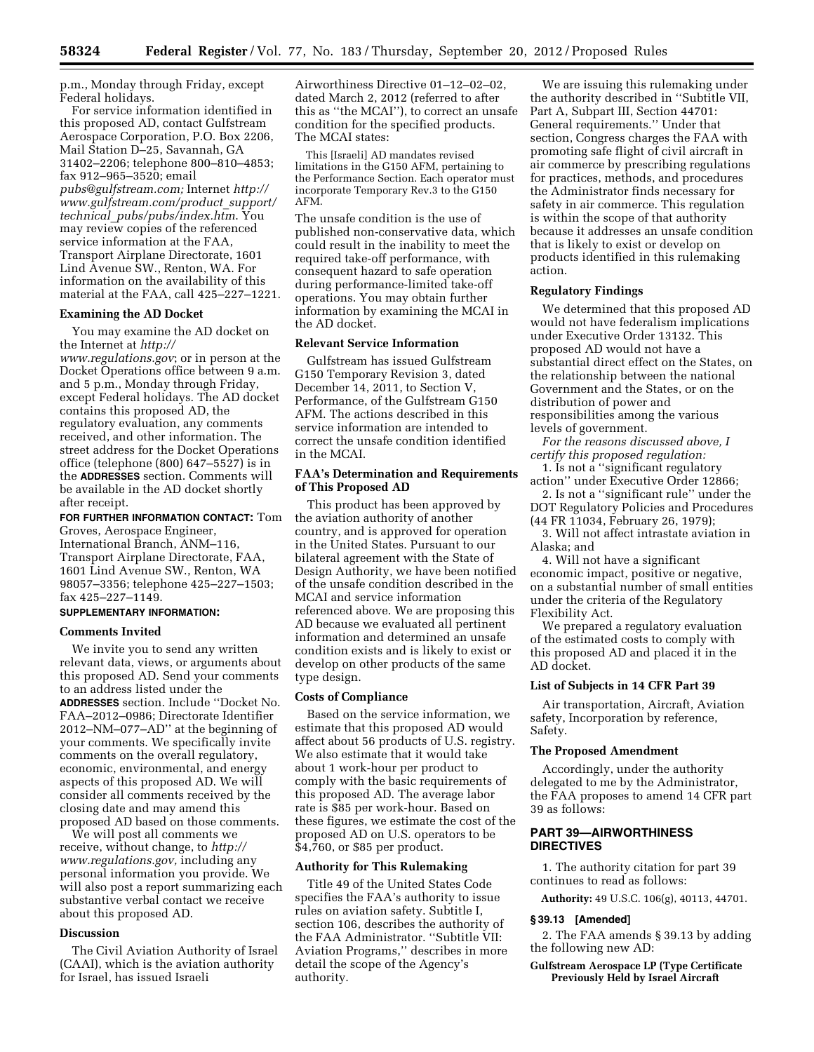p.m., Monday through Friday, except Federal holidays.

For service information identified in this proposed AD, contact Gulfstream Aerospace Corporation, P.O. Box 2206, Mail Station D–25, Savannah, GA 31402–2206; telephone 800–810–4853; fax 912–965–3520; email *[pubs@gulfstream.com;](mailto:pubs@gulfstream.com)* Internet *[http://](http://www.gulfstream.com/product_support/technical_pubs/pubs/index.htm)  [www.gulfstream.com/product](http://www.gulfstream.com/product_support/technical_pubs/pubs/index.htm)*\_*support/ technical*\_*[pubs/pubs/index.htm](http://www.gulfstream.com/product_support/technical_pubs/pubs/index.htm)*. You may review copies of the referenced service information at the FAA, Transport Airplane Directorate, 1601 Lind Avenue SW., Renton, WA. For information on the availability of this material at the FAA, call 425–227–1221.

### **Examining the AD Docket**

You may examine the AD docket on the Internet at *[http://](http://www.regulations.gov)* 

*[www.regulations.gov](http://www.regulations.gov)*; or in person at the Docket Operations office between 9 a.m. and 5 p.m., Monday through Friday, except Federal holidays. The AD docket contains this proposed AD, the regulatory evaluation, any comments received, and other information. The street address for the Docket Operations office (telephone (800) 647–5527) is in the **ADDRESSES** section. Comments will be available in the AD docket shortly after receipt.

**FOR FURTHER INFORMATION CONTACT:** Tom Groves, Aerospace Engineer, International Branch, ANM–116, Transport Airplane Directorate, FAA, 1601 Lind Avenue SW., Renton, WA 98057–3356; telephone 425–227–1503; fax 425–227–1149.

# **SUPPLEMENTARY INFORMATION:**

## **Comments Invited**

We invite you to send any written relevant data, views, or arguments about this proposed AD. Send your comments to an address listed under the **ADDRESSES** section. Include ''Docket No. FAA–2012–0986; Directorate Identifier 2012–NM–077–AD'' at the beginning of your comments. We specifically invite comments on the overall regulatory, economic, environmental, and energy aspects of this proposed AD. We will consider all comments received by the closing date and may amend this proposed AD based on those comments.

We will post all comments we receive, without change, to *[http://](http://www.regulations.gov) [www.regulations.gov,](http://www.regulations.gov)* including any personal information you provide. We will also post a report summarizing each substantive verbal contact we receive about this proposed AD.

### **Discussion**

The Civil Aviation Authority of Israel (CAAI), which is the aviation authority for Israel, has issued Israeli

Airworthiness Directive 01–12–02–02, dated March 2, 2012 (referred to after this as ''the MCAI''), to correct an unsafe condition for the specified products. The MCAI states:

This [Israeli] AD mandates revised limitations in the G150 AFM, pertaining to the Performance Section. Each operator must incorporate Temporary Rev.3 to the G150 AFM.

The unsafe condition is the use of published non-conservative data, which could result in the inability to meet the required take-off performance, with consequent hazard to safe operation during performance-limited take-off operations. You may obtain further information by examining the MCAI in the AD docket.

### **Relevant Service Information**

Gulfstream has issued Gulfstream G150 Temporary Revision 3, dated December 14, 2011, to Section V, Performance, of the Gulfstream G150 AFM. The actions described in this service information are intended to correct the unsafe condition identified in the MCAI.

### **FAA's Determination and Requirements of This Proposed AD**

This product has been approved by the aviation authority of another country, and is approved for operation in the United States. Pursuant to our bilateral agreement with the State of Design Authority, we have been notified of the unsafe condition described in the MCAI and service information referenced above. We are proposing this AD because we evaluated all pertinent information and determined an unsafe condition exists and is likely to exist or develop on other products of the same type design.

#### **Costs of Compliance**

Based on the service information, we estimate that this proposed AD would affect about 56 products of U.S. registry. We also estimate that it would take about 1 work-hour per product to comply with the basic requirements of this proposed AD. The average labor rate is \$85 per work-hour. Based on these figures, we estimate the cost of the proposed AD on U.S. operators to be \$4,760, or \$85 per product.

# **Authority for This Rulemaking**

Title 49 of the United States Code specifies the FAA's authority to issue rules on aviation safety. Subtitle I, section 106, describes the authority of the FAA Administrator. ''Subtitle VII: Aviation Programs,'' describes in more detail the scope of the Agency's authority.

We are issuing this rulemaking under the authority described in ''Subtitle VII, Part A, Subpart III, Section 44701: General requirements.'' Under that section, Congress charges the FAA with promoting safe flight of civil aircraft in air commerce by prescribing regulations for practices, methods, and procedures the Administrator finds necessary for safety in air commerce. This regulation is within the scope of that authority because it addresses an unsafe condition that is likely to exist or develop on products identified in this rulemaking action.

#### **Regulatory Findings**

We determined that this proposed AD would not have federalism implications under Executive Order 13132. This proposed AD would not have a substantial direct effect on the States, on the relationship between the national Government and the States, or on the distribution of power and responsibilities among the various levels of government.

*For the reasons discussed above, I certify this proposed regulation:* 

1. Is not a ''significant regulatory action'' under Executive Order 12866;

2. Is not a ''significant rule'' under the DOT Regulatory Policies and Procedures (44 FR 11034, February 26, 1979);

3. Will not affect intrastate aviation in Alaska; and

4. Will not have a significant economic impact, positive or negative, on a substantial number of small entities under the criteria of the Regulatory Flexibility Act.

We prepared a regulatory evaluation of the estimated costs to comply with this proposed AD and placed it in the AD docket.

#### **List of Subjects in 14 CFR Part 39**

Air transportation, Aircraft, Aviation safety, Incorporation by reference, Safety.

#### **The Proposed Amendment**

Accordingly, under the authority delegated to me by the Administrator, the FAA proposes to amend 14 CFR part 39 as follows:

## **PART 39—AIRWORTHINESS DIRECTIVES**

1. The authority citation for part 39 continues to read as follows:

**Authority:** 49 U.S.C. 106(g), 40113, 44701.

#### **§ 39.13 [Amended]**

2. The FAA amends § 39.13 by adding the following new AD:

**Gulfstream Aerospace LP (Type Certificate Previously Held by Israel Aircraft**